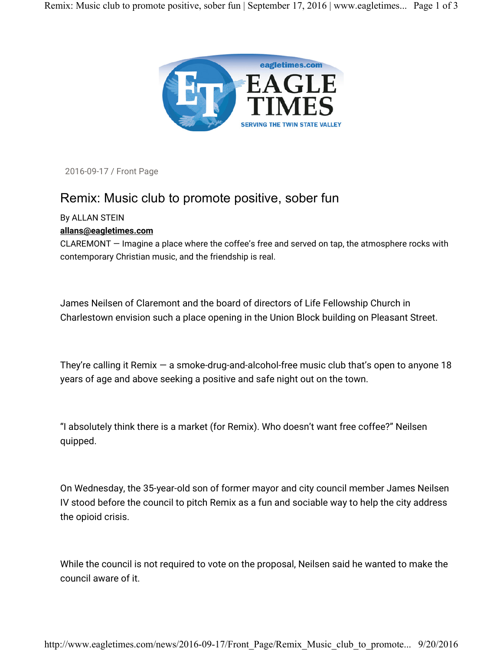

2016-09-17 / Front Page

## Remix: Music club to promote positive, sober fun

## By ALLAN STEIN

## **allans@eagletimes.com**

CLAREMONT — Imagine a place where the coffee's free and served on tap, the atmosphere rocks with contemporary Christian music, and the friendship is real.

James Neilsen of Claremont and the board of directors of Life Fellowship Church in Charlestown envision such a place opening in the Union Block building on Pleasant Street.

They're calling it Remix — a smoke-drug-and-alcohol-free music club that's open to anyone 18 years of age and above seeking a positive and safe night out on the town.

"I absolutely think there is a market (for Remix). Who doesn't want free coffee?" Neilsen quipped.

On Wednesday, the 35-year-old son of former mayor and city council member James Neilsen IV stood before the council to pitch Remix as a fun and sociable way to help the city address the opioid crisis.

While the council is not required to vote on the proposal, Neilsen said he wanted to make the council aware of it.

http://www.eagletimes.com/news/2016-09-17/Front\_Page/Remix\_Music\_club\_to\_promote... 9/20/2016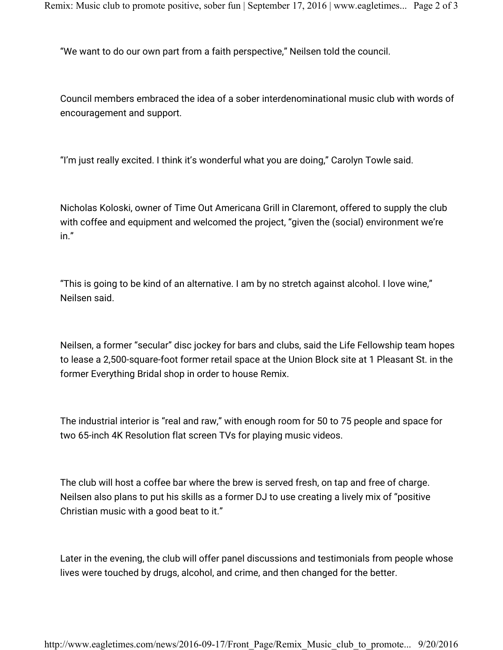"We want to do our own part from a faith perspective," Neilsen told the council.

Council members embraced the idea of a sober interdenominational music club with words of encouragement and support.

"I'm just really excited. I think it's wonderful what you are doing," Carolyn Towle said.

Nicholas Koloski, owner of Time Out Americana Grill in Claremont, offered to supply the club with coffee and equipment and welcomed the project, "given the (social) environment we're in."

"This is going to be kind of an alternative. I am by no stretch against alcohol. I love wine," Neilsen said.

Neilsen, a former "secular" disc jockey for bars and clubs, said the Life Fellowship team hopes to lease a 2,500-square-foot former retail space at the Union Block site at 1 Pleasant St. in the former Everything Bridal shop in order to house Remix.

The industrial interior is "real and raw," with enough room for 50 to 75 people and space for two 65-inch 4K Resolution flat screen TVs for playing music videos.

The club will host a coffee bar where the brew is served fresh, on tap and free of charge. Neilsen also plans to put his skills as a former DJ to use creating a lively mix of "positive Christian music with a good beat to it."

Later in the evening, the club will offer panel discussions and testimonials from people whose lives were touched by drugs, alcohol, and crime, and then changed for the better.